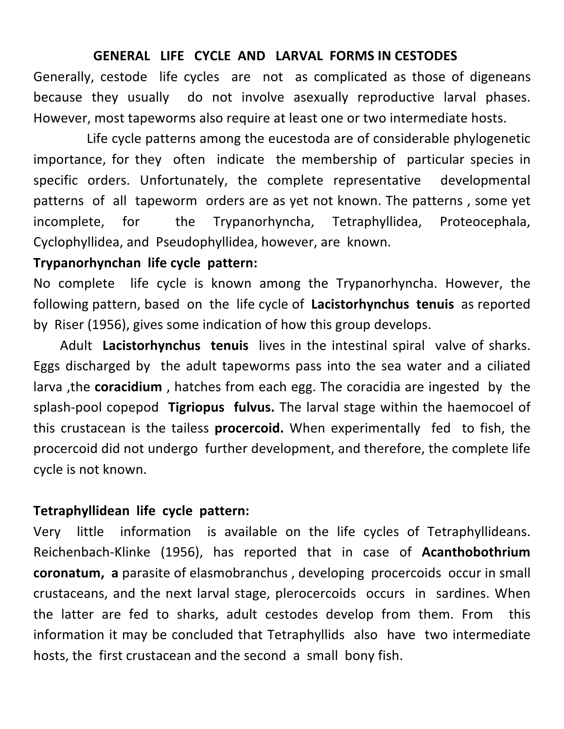#### **GENERAL LIFE CYCLE AND LARVAL FORMS IN CESTODES**

Generally, cestode life cycles are not as complicated as those of digeneans because they usually do not involve asexually reproductive larval phases. However, most tapeworms also require at least one or two intermediate hosts.

Life cycle patterns among the eucestoda are of considerable phylogenetic importance, for they often indicate the membership of particular species in specific orders. Unfortunately, the complete representative developmental patterns of all tapeworm orders are as yet not known. The patterns, some yet incomplete, for the Trypanorhyncha, Tetraphyllidea, Proteocephala, Cyclophyllidea, and Pseudophyllidea, however, are known.

#### **Trypanorhynchan life cycle pattern:**

No complete life cycle is known among the Trypanorhyncha. However, the following pattern, based on the life cycle of **Lacistorhynchus tenuis** as reported by Riser (1956), gives some indication of how this group develops.

Adult Lacistorhynchus tenuis lives in the intestinal spiral valve of sharks. Eggs discharged by the adult tapeworms pass into the sea water and a ciliated larva, the **coracidium**, hatches from each egg. The coracidia are ingested by the splash-pool copepod **Tigriopus fulvus.** The larval stage within the haemocoel of this crustacean is the tailess **procercoid.** When experimentally fed to fish, the procercoid did not undergo further development, and therefore, the complete life cycle is not known.

#### **Tetraphyllidean life cycle pattern:**

Very little information is available on the life cycles of Tetraphyllideans. Reichenbach-Klinke (1956), has reported that in case of **Acanthobothrium coronatum, a** parasite of elasmobranchus, developing procercoids occur in small crustaceans, and the next larval stage, plerocercoids occurs in sardines. When the latter are fed to sharks, adult cestodes develop from them. From this information it may be concluded that Tetraphyllids also have two intermediate hosts, the first crustacean and the second a small bony fish.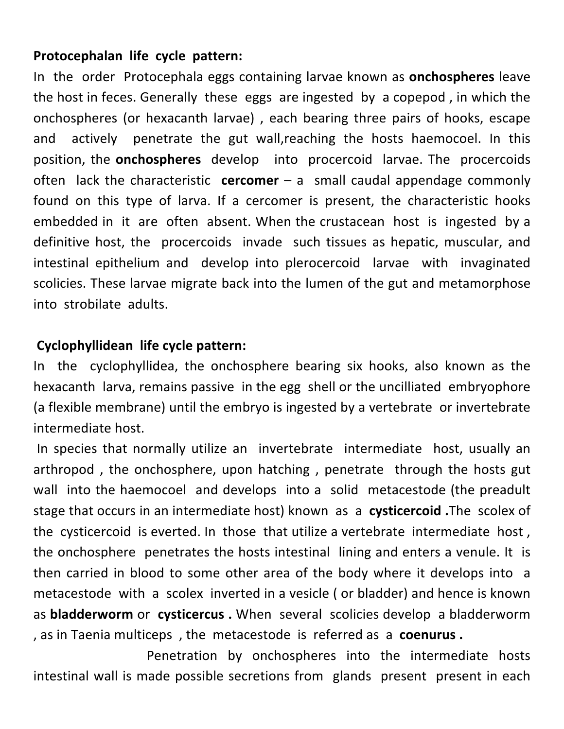## **Protocephalan life cycle pattern:**

In the order Protocephala eggs containing larvae known as **onchospheres** leave the host in feces. Generally these eggs are ingested by a copepod, in which the onchospheres (or hexacanth larvae), each bearing three pairs of hooks, escape and actively penetrate the gut wall,reaching the hosts haemocoel. In this position, the **onchospheres** develop into procercoid larvae. The procercoids often lack the characteristic **cercomer** – a small caudal appendage commonly found on this type of larva. If a cercomer is present, the characteristic hooks embedded in it are often absent. When the crustacean host is ingested by a definitive host, the procercoids invade such tissues as hepatic, muscular, and intestinal epithelium and develop into plerocercoid larvae with invaginated scolicies. These larvae migrate back into the lumen of the gut and metamorphose into strobilate adults.

### **Cyclophyllidean life cycle pattern:**

In the cyclophyllidea, the onchosphere bearing six hooks, also known as the hexacanth larva, remains passive in the egg shell or the uncilliated embryophore (a flexible membrane) until the embryo is ingested by a vertebrate or invertebrate intermediate host.

In species that normally utilize an invertebrate intermediate host, usually an arthropod, the onchosphere, upon hatching, penetrate through the hosts gut wall into the haemocoel and develops into a solid metacestode (the preadult stage that occurs in an intermediate host) known as a **cysticercoid**. The scolex of the cysticercoid is everted. In those that utilize a vertebrate intermediate host, the onchosphere penetrates the hosts intestinal lining and enters a venule. It is then carried in blood to some other area of the body where it develops into a metacestode with a scolex inverted in a vesicle (or bladder) and hence is known as **bladderworm** or **cysticercus**. When several scolicies develop a bladderworm , as in Taenia multiceps, the metacestode is referred as a **coenurus**.

Penetration by onchospheres into the intermediate hosts intestinal wall is made possible secretions from glands present present in each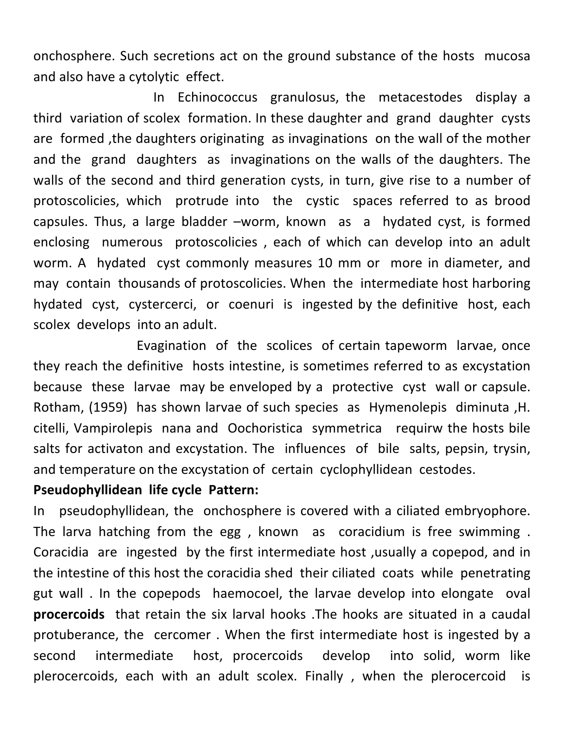onchosphere. Such secretions act on the ground substance of the hosts mucosa and also have a cytolytic effect.

In Echinococcus granulosus, the metacestodes display a third variation of scolex formation. In these daughter and grand daughter cysts are formed, the daughters originating as invaginations on the wall of the mother and the grand daughters as invaginations on the walls of the daughters. The walls of the second and third generation cysts, in turn, give rise to a number of protoscolicies, which protrude into the cystic spaces referred to as brood capsules. Thus, a large bladder -worm, known as a hydated cyst, is formed enclosing numerous protoscolicies, each of which can develop into an adult worm. A hydated cyst commonly measures 10 mm or more in diameter, and may contain thousands of protoscolicies. When the intermediate host harboring hydated cyst, cystercerci, or coenuri is ingested by the definitive host, each scolex develops into an adult.

Evagination of the scolices of certain tapeworm larvae, once they reach the definitive hosts intestine, is sometimes referred to as excystation because these larvae may be enveloped by a protective cyst wall or capsule. Rotham, (1959) has shown larvae of such species as Hymenolepis diminuta, H. citelli, Vampirolepis nana and Oochoristica symmetrica requirw the hosts bile salts for activaton and excystation. The influences of bile salts, pepsin, trysin, and temperature on the excystation of certain cyclophyllidean cestodes.

#### **Pseudophyllidean life cycle Pattern:**

In pseudophyllidean, the onchosphere is covered with a ciliated embryophore. The larva hatching from the egg, known as coracidium is free swimming. Coracidia are ingested by the first intermediate host , usually a copepod, and in the intestine of this host the coracidia shed their ciliated coats while penetrating gut wall . In the copepods haemocoel, the larvae develop into elongate oval **procercoids** that retain the six larval hooks. The hooks are situated in a caudal protuberance, the cercomer. When the first intermediate host is ingested by a second intermediate host, procercoids develop into solid, worm like plerocercoids, each with an adult scolex. Finally, when the plerocercoid is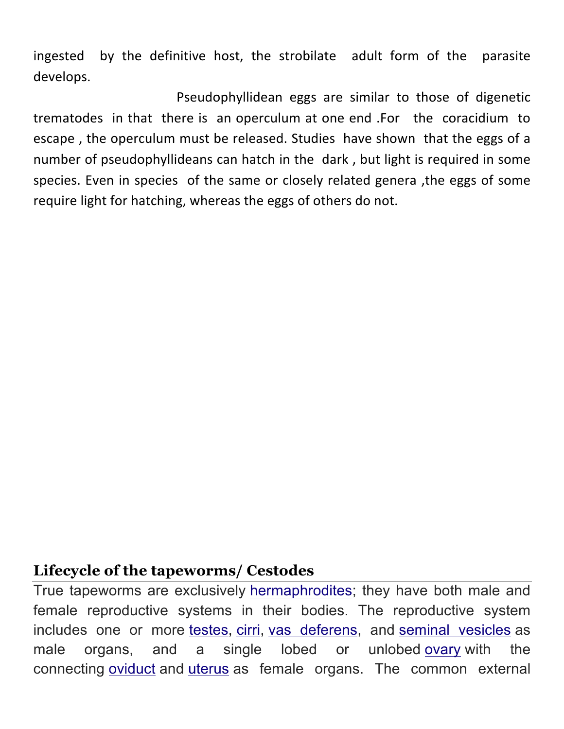ingested by the definitive host, the strobilate adult form of the parasite develops.

Pseudophyllidean eggs are similar to those of digenetic trematodes in that there is an operculum at one end .For the coracidium to escape, the operculum must be released. Studies have shown that the eggs of a number of pseudophyllideans can hatch in the dark, but light is required in some species. Even in species of the same or closely related genera, the eggs of some require light for hatching, whereas the eggs of others do not.

# **Lifecycle of the tapeworms/ Cestodes**

True tapeworms are exclusively hermaphrodites; they have both male and female reproductive systems in their bodies. The reproductive system includes one or more testes, cirri, vas deferens, and seminal vesicles as male organs, and a single lobed or unlobed ovary with the connecting oviduct and uterus as female organs. The common external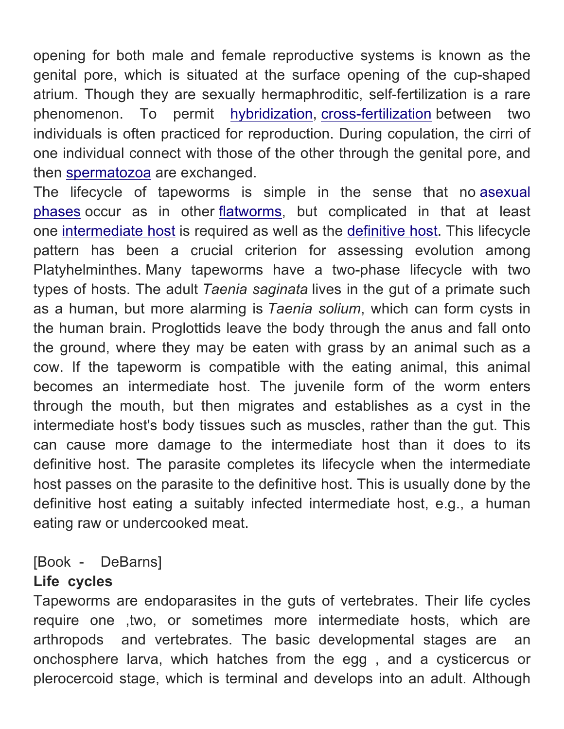opening for both male and female reproductive systems is known as the genital pore, which is situated at the surface opening of the cup-shaped atrium. Though they are sexually hermaphroditic, self-fertilization is a rare phenomenon. To permit hybridization, cross-fertilization between two individuals is often practiced for reproduction. During copulation, the cirri of one individual connect with those of the other through the genital pore, and then spermatozoa are exchanged.

The lifecycle of tapeworms is simple in the sense that no asexual phases occur as in other flatworms, but complicated in that at least one intermediate host is required as well as the definitive host. This lifecycle pattern has been a crucial criterion for assessing evolution among Platyhelminthes. Many tapeworms have a two-phase lifecycle with two types of hosts. The adult *Taenia saginata* lives in the gut of a primate such as a human, but more alarming is *Taenia solium*, which can form cysts in the human brain. Proglottids leave the body through the anus and fall onto the ground, where they may be eaten with grass by an animal such as a cow. If the tapeworm is compatible with the eating animal, this animal becomes an intermediate host. The juvenile form of the worm enters through the mouth, but then migrates and establishes as a cyst in the intermediate host's body tissues such as muscles, rather than the gut. This can cause more damage to the intermediate host than it does to its definitive host. The parasite completes its lifecycle when the intermediate host passes on the parasite to the definitive host. This is usually done by the definitive host eating a suitably infected intermediate host, e.g., a human eating raw or undercooked meat.

# [Book - DeBarns]

# **Life cycles**

Tapeworms are endoparasites in the guts of vertebrates. Their life cycles require one ,two, or sometimes more intermediate hosts, which are arthropods and vertebrates. The basic developmental stages are an onchosphere larva, which hatches from the egg , and a cysticercus or plerocercoid stage, which is terminal and develops into an adult. Although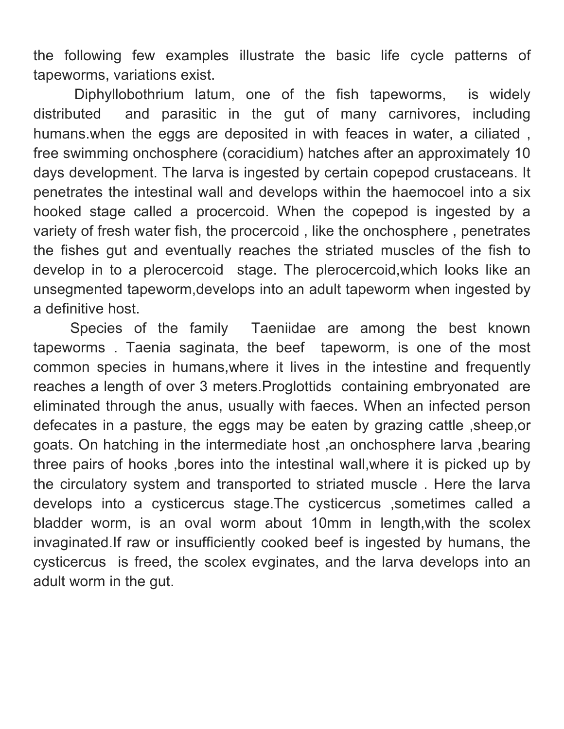the following few examples illustrate the basic life cycle patterns of tapeworms, variations exist.

 Diphyllobothrium latum, one of the fish tapeworms, is widely distributed and parasitic in the gut of many carnivores, including humans.when the eggs are deposited in with feaces in water, a ciliated , free swimming onchosphere (coracidium) hatches after an approximately 10 days development. The larva is ingested by certain copepod crustaceans. It penetrates the intestinal wall and develops within the haemocoel into a six hooked stage called a procercoid. When the copepod is ingested by a variety of fresh water fish, the procercoid , like the onchosphere , penetrates the fishes gut and eventually reaches the striated muscles of the fish to develop in to a plerocercoid stage. The plerocercoid,which looks like an unsegmented tapeworm,develops into an adult tapeworm when ingested by a definitive host.

 Species of the family Taeniidae are among the best known tapeworms . Taenia saginata, the beef tapeworm, is one of the most common species in humans,where it lives in the intestine and frequently reaches a length of over 3 meters.Proglottids containing embryonated are eliminated through the anus, usually with faeces. When an infected person defecates in a pasture, the eggs may be eaten by grazing cattle ,sheep,or goats. On hatching in the intermediate host ,an onchosphere larva ,bearing three pairs of hooks ,bores into the intestinal wall,where it is picked up by the circulatory system and transported to striated muscle . Here the larva develops into a cysticercus stage.The cysticercus ,sometimes called a bladder worm, is an oval worm about 10mm in length,with the scolex invaginated.If raw or insufficiently cooked beef is ingested by humans, the cysticercus is freed, the scolex evginates, and the larva develops into an adult worm in the gut.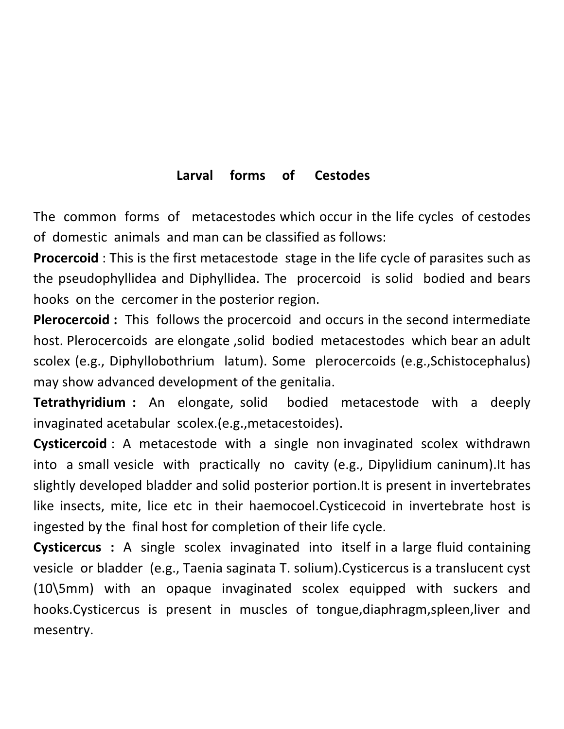## Larval forms of Cestodes

The common forms of metacestodes which occur in the life cycles of cestodes of domestic animals and man can be classified as follows:

**Procercoid**: This is the first metacestode stage in the life cycle of parasites such as the pseudophyllidea and Diphyllidea. The procercoid is solid bodied and bears hooks on the cercomer in the posterior region.

**Plerocercoid**: This follows the procercoid and occurs in the second intermediate host. Plerocercoids are elongate ,solid bodied metacestodes which bear an adult scolex (e.g., Diphyllobothrium latum). Some plerocercoids (e.g.,Schistocephalus) may show advanced development of the genitalia.

**Tetrathyridium** : An elongate, solid bodied metacestode with a deeply invaginated acetabular scolex.(e.g., metacestoides).

**Cysticercoid**: A metacestode with a single non invaginated scolex withdrawn into a small vesicle with practically no cavity (e.g., Dipylidium caninum). It has slightly developed bladder and solid posterior portion. It is present in invertebrates like insects, mite, lice etc in their haemocoel.Cysticecoid in invertebrate host is ingested by the final host for completion of their life cycle.

**Cysticercus** : A single scolex invaginated into itself in a large fluid containing vesicle or bladder (e.g., Taenia saginata T. solium).Cysticercus is a translucent cyst (10\5mm) with an opaque invaginated scolex equipped with suckers and hooks.Cysticercus is present in muscles of tongue,diaphragm,spleen,liver and mesentry.